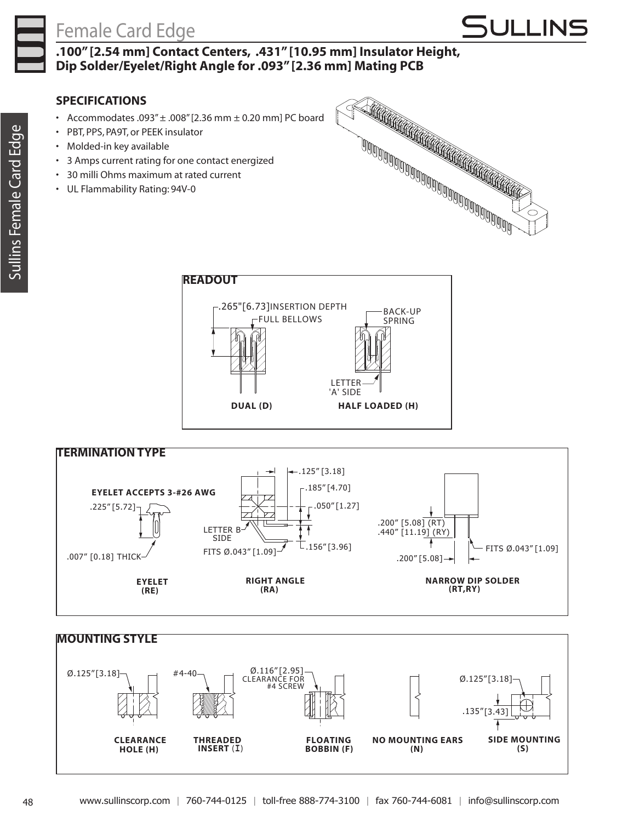## Female Card Edge



**.100" [2.54 mm] Contact Centers, .431" [10.95 mm] Insulator Height, Dip Solder/Eyelet/Right Angle for .093" [2.36 mm] Mating PCB**

## **SPECIFICATIONS**

- Accommodates .093" $\pm$  .008" [2.36 mm  $\pm$  0.20 mm] PC board
- • PBT, PPS, PA9T, or PEEK insulator
- • Molded-in key available
- • 3 Amps current rating for one contact energized
- • 30 milli Ohms maximum at rated current
- • UL Flammability Rating: 94V-0